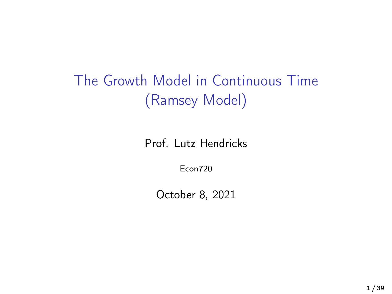The Growth Model in Continuous Time (Ramsey Model)

Prof. Lutz Hendricks

Econ720

October 8, 2021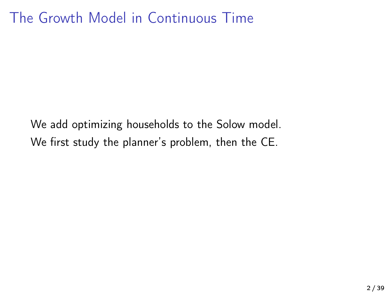# The Growth Model in Continuous Time

We add optimizing households to the Solow model. We first study the planner's problem, then the CE.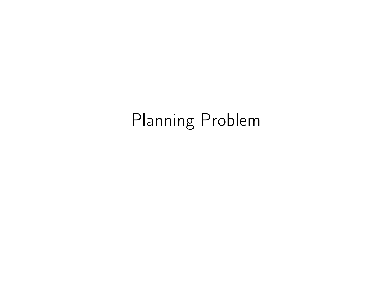# Planning Problem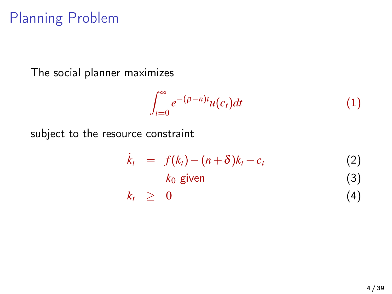### Planning Problem

The social planner maximizes

$$
\int_{t=0}^{\infty} e^{-(\rho - n)t} u(c_t) dt \tag{1}
$$

subject to the resource constraint

$$
\dot{k}_t = f(k_t) - (n+\delta)k_t - c_t
$$
\n
$$
k_0 \text{ given}
$$
\n(2)\n
$$
k > 0
$$
\n(3)

$$
k_t \geq 0 \tag{4}
$$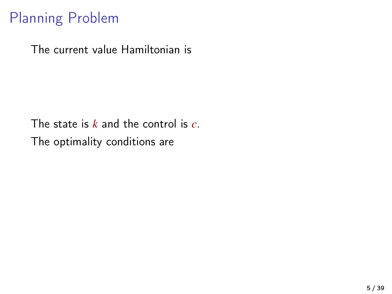## Planning Problem

The current value Hamiltonian is

The state is *k* and the control is *c*. The optimality conditions are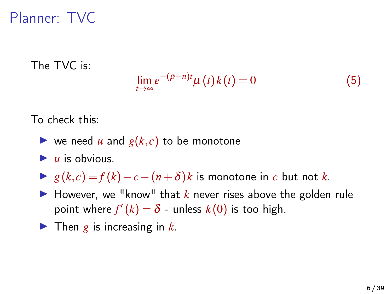#### Planner: TVC

The TVC is:

$$
\lim_{t \to \infty} e^{-(\rho - n)t} \mu(t) k(t) = 0 \tag{5}
$$

To check this:

- $\blacktriangleright$  we need *u* and  $g(k, c)$  to be monotone
- $\blacktriangleright$  *u* is obvious.
- $\triangleright$  *g*(*k*,*c*) = *f*(*k*) − *c*−(*n*+δ)*k* is monotone in *c* but not *k*.
- $\blacktriangleright$  However, we "know" that *k* never rises above the golden rule point where  $f'(k) = \delta$  - unless  $k(0)$  is too high.
- $\blacktriangleright$  Then *g* is increasing in *k*.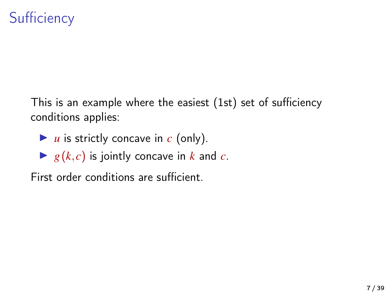# **Sufficiency**

This is an example where the easiest (1st) set of sufficiency conditions applies:

- $\blacktriangleright$  *u* is strictly concave in *c* (only).
- $\blacktriangleright$  *g*(*k*, *c*) is jointly concave in *k* and *c*.

First order conditions are sufficient.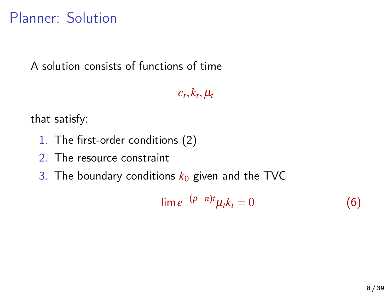### Planner: Solution

A solution consists of functions of time

 $c_t, k_t, \mu_t$ 

that satisfy:

- 1. The first-order conditions (2)
- 2. The resource constraint
- 3. The boundary conditions  $k_0$  given and the TVC

$$
\lim e^{-(\rho - n)t} \mu_t k_t = 0 \tag{6}
$$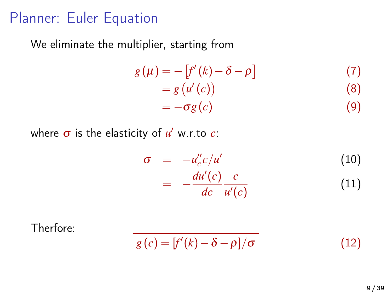#### Planner: Euler Equation

We eliminate the multiplier, starting from

$$
g(\mu) = -[f'(k) - \delta - \rho]
$$
  
=  $g(u'(c))$   
=  $-\sigma g(c)$  (9)

where  $\sigma$  is the elasticity of  $u'$  w.r.to  $c$ :

$$
\begin{array}{rcl}\n\sigma & = & -u_c''c/u' \\
& = & -\frac{du'(c)}{dc} \frac{c}{u'(c)}\n\end{array} \tag{10}
$$

Therfore:

$$
g(c) = [f'(k) - \delta - \rho]/\sigma \tag{12}
$$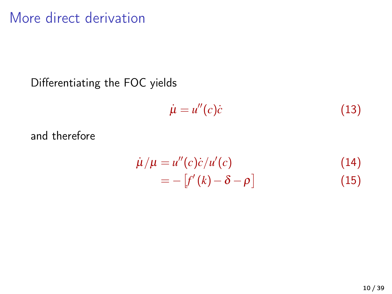#### More direct derivation

Differentiating the FOC yields

$$
\dot{\mu} = u''(c)\dot{c} \tag{13}
$$

and therefore

$$
\dot{\mu}/\mu = u''(c)\dot{c}/u'(c)
$$
\n
$$
= -[f'(k) - \delta - \rho]
$$
\n(14)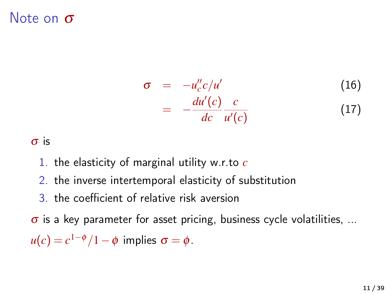#### Note on σ

$$
\sigma = -u''_c c/u'
$$
(16)  

$$
= -\frac{du'(c)}{dc} \frac{c}{u'(c)}
$$
(17)

#### σ is

- 1. the elasticity of marginal utility w.r.to *c*
- 2. the inverse intertemporal elasticity of substitution
- 3. the coefficient of relative risk aversion

 $\sigma$  is a key parameter for asset pricing, business cycle volatilities, ...  $u(c) = c^{1-\phi}/1 - \phi$  implies  $\sigma = \phi$ .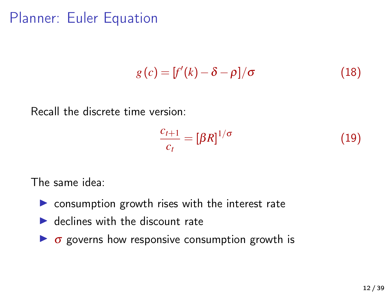#### Planner: Euler Equation

$$
g(c) = [f'(k) - \delta - \rho]/\sigma \tag{18}
$$

Recall the discrete time version:

$$
\frac{c_{t+1}}{c_t} = [\beta R]^{1/\sigma} \tag{19}
$$

The same idea:

- $\triangleright$  consumption growth rises with the interest rate
- $\blacktriangleright$  declines with the discount rate
- $\triangleright$   $\sigma$  governs how responsive consumption growth is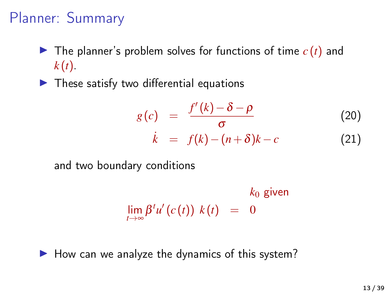# Planner: Summary

- $\triangleright$  The planner's problem solves for functions of time  $c(t)$  and  $k(t)$ .
- $\blacktriangleright$  These satisfy two differential equations

$$
g(c) = \frac{f'(k) - \delta - \rho}{\sigma}
$$
 (20)  

$$
k = f(k) - (n + \delta)k - c
$$
 (21)

and two boundary conditions

$$
\lim_{t\to\infty}\beta^t u'\big(c(t)\big) k(t) = 0
$$

 $\blacktriangleright$  How can we analyze the dynamics of this system?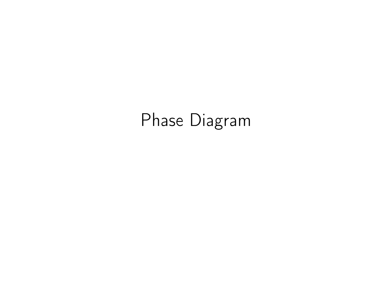# Phase Diagram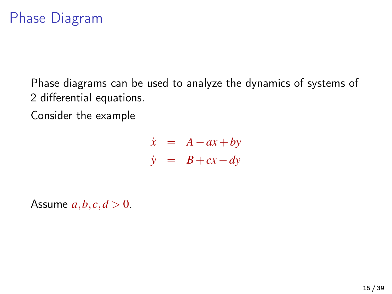#### Phase Diagram

Phase diagrams can be used to analyze the dynamics of systems of 2 differential equations.

Consider the example

*x*˙ = *A*−*ax*+*by*  $\dot{y} = B + cx - dy$ 

Assume  $a, b, c, d > 0$ .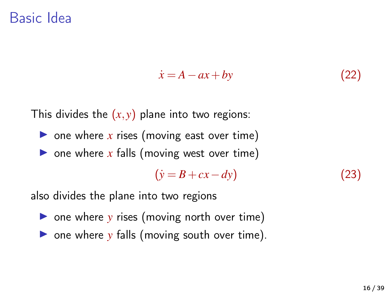#### Basic Idea

$$
\dot{x} = A - ax + by \tag{22}
$$

This divides the  $(x, y)$  plane into two regions:

- $\triangleright$  one where x rises (moving east over time)
- $\triangleright$  one where x falls (moving west over time)

 $(y = B + cx - dy)$  (23)

also divides the plane into two regions

- $\triangleright$  one where *y* rises (moving north over time)
- $\triangleright$  one where *y* falls (moving south over time).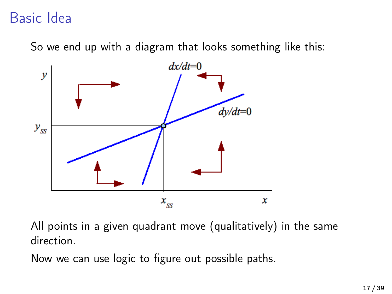# Basic Idea

So we end up with a diagram that looks something like this:



All points in a given quadrant move (qualitatively) in the same direction.

Now we can use logic to figure out possible paths.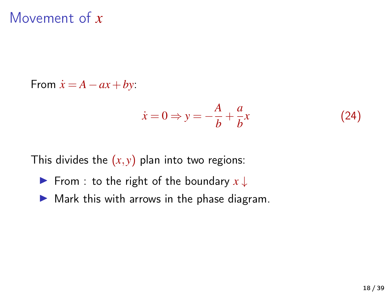#### Movement of *x*

From  $\dot{x} = A - ax + by$ :

$$
\dot{x} = 0 \Rightarrow y = -\frac{A}{b} + \frac{a}{b}x \tag{24}
$$

This divides the  $(x, y)$  plan into two regions:

- **From : to the right of the boundary**  $x \downarrow$
- $\blacktriangleright$  Mark this with arrows in the phase diagram.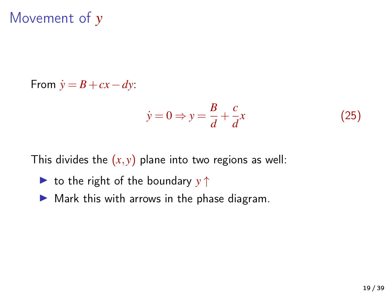# Movement of *y*

From  $\dot{y} = B + cx - dy$ :  $\dot{y} = 0 \Rightarrow y = \frac{B}{J}$  $\frac{B}{d} + \frac{c}{d}$ *d*  $(25)$ 

This divides the  $(x, y)$  plane into two regions as well:

$$
\blacktriangleright
$$
 to the right of the boundary  $y \uparrow$ 

 $\blacktriangleright$  Mark this with arrows in the phase diagram.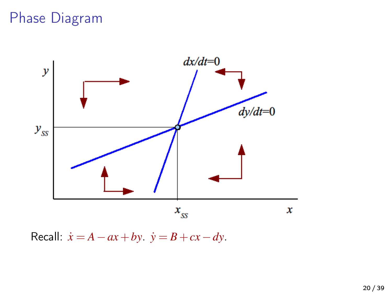#### Phase Diagram



Recall:  $\dot{x} = A - ax + by$ .  $\dot{y} = B + cx - dy$ .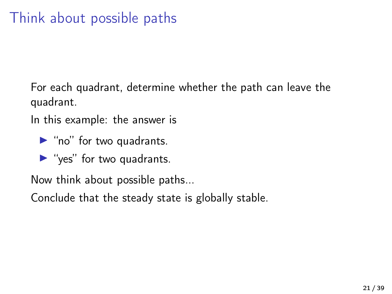# Think about possible paths

For each quadrant, determine whether the path can leave the quadrant.

In this example: the answer is

- $\blacktriangleright$  "no" for two quadrants.
- $\blacktriangleright$  "yes" for two quadrants.

Now think about possible paths...

Conclude that the steady state is globally stable.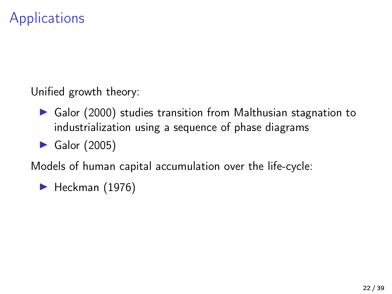#### **Applications**

Unified growth theory:

- $\triangleright$  [Galor \(2000\)](#page-38-0) studies transition from Malthusian stagnation to industrialization using a sequence of phase diagrams
- Galor  $(2005)$

Models of human capital accumulation over the life-cycle:

 $\blacktriangleright$  [Heckman \(1976\)](#page-38-2)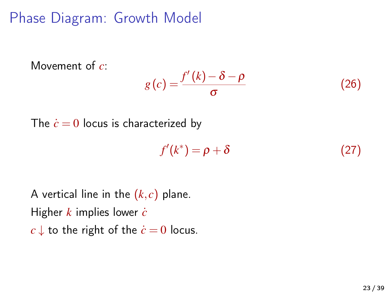# Phase Diagram: Growth Model

Movement of *c*:  
\n
$$
g(c) = \frac{f'(k) - \delta - \rho}{\sigma}
$$
\n(26)

The  $\dot{c} = 0$  locus is characterized by

 $f'(k^*) = \rho + \delta$  (27)

A vertical line in the  $(k, c)$  plane. Higher *k* implies lower *c*˙ *c*  $\downarrow$  to the right of the  $\dot{c} = 0$  locus.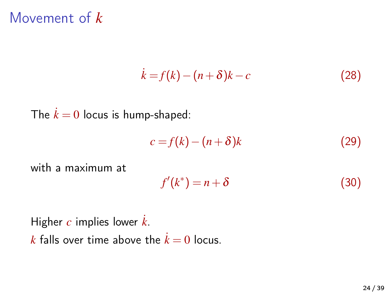#### Movement of *k*

$$
\dot{k} = f(k) - (n+\delta)k - c \tag{28}
$$

The  $k = 0$  locus is hump-shaped:

$$
c = f(k) - (n + \delta)k \tag{29}
$$

with a maximum at

$$
f'(k^*) = n + \delta \tag{30}
$$

Higher  $c$  implies lower  $\dot{k}$ . *k* falls over time above the  $\dot{k} = 0$  locus.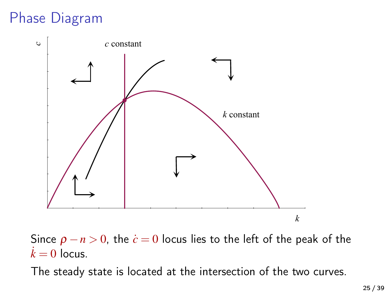# Phase Diagram



Since  $\rho - n > 0$ , the  $\dot{c} = 0$  locus lies to the left of the peak of the  $\dot{k} = 0$  locus.

The steady state is located at the intersection of the two curves.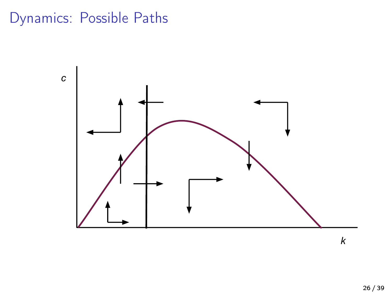# Dynamics: Possible Paths

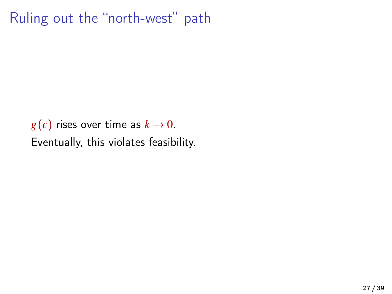## Ruling out the "north-west" path

 $g(c)$  rises over time as  $k \to 0$ . Eventually, this violates feasibility.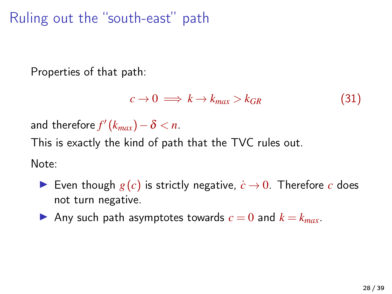Ruling out the "south-east" path

Properties of that path:

$$
c \to 0 \implies k \to k_{max} > k_{GR} \tag{31}
$$

and therefore  $f'(k_{max}) - \delta < n$ .

This is exactly the kind of path that the TVC rules out.

Note:

- **If** Even though  $g(c)$  is strictly negative,  $\dot{c} \rightarrow 0$ . Therefore *c* does not turn negative.
- Any such path asymptotes towards  $c = 0$  and  $k = k_{max}$ .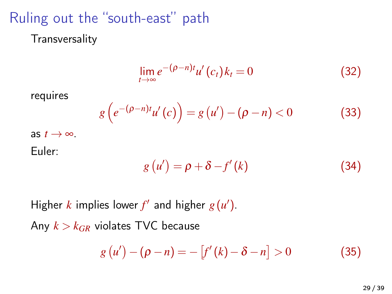#### Ruling out the "south-east" path

**Transversality** 

$$
\lim_{t \to \infty} e^{-(\rho - n)t} u'(c_t) k_t = 0 \tag{32}
$$

requires

$$
g\left(e^{-(\rho-n)t}u'(c)\right)=g\left(u'\right)-(\rho-n)<0\tag{33}
$$

as  $t \rightarrow \infty$ .

Euler:

$$
g(u') = \rho + \delta - f'(k) \tag{34}
$$

Higher *k* implies lower  $f'$  and higher  $g(u')$ . Any  $k > k_{GR}$  violates TVC because

$$
g(u') - (\rho - n) = -[f'(k) - \delta - n] > 0 \tag{35}
$$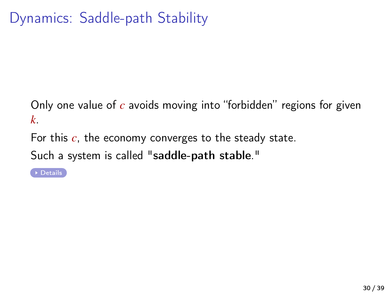Only one value of *c* avoids moving into "forbidden" regions for given *k*.

For this *c*, the economy converges to the steady state.

Such a system is called "saddle-path stable."

[Details](#page-32-0)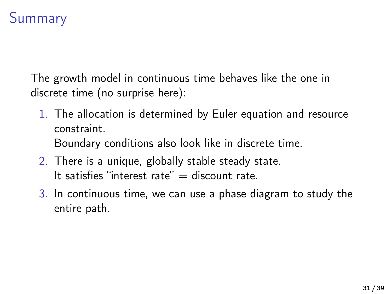# Summary

The growth model in continuous time behaves like the one in discrete time (no surprise here):

- 1. The allocation is determined by Euler equation and resource constraint. Boundary conditions also look like in discrete time.
- 2. There is a unique, globally stable steady state. It satisfies "interest rate"  $=$  discount rate.
- 3. In continuous time, we can use a phase diagram to study the entire path.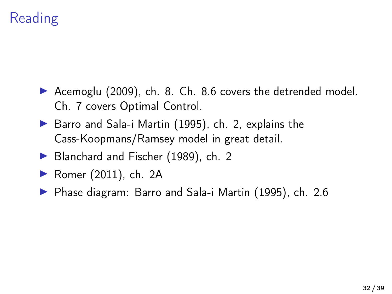# Reading

- ▶ [Acemoglu \(2009\)](#page-38-3), ch. 8. Ch. 8.6 covers the detrended model. Ch. 7 covers Optimal Control.
- $\triangleright$  [Barro and Sala-i Martin \(1995\)](#page-38-4), ch. 2, explains the Cass-Koopmans/Ramsey model in great detail.
- ▶ [Blanchard and Fischer \(1989\)](#page-38-5), ch. 2
- $\blacktriangleright$  [Romer \(2011\)](#page-38-6), ch. 2A
- ▶ Phase diagram: [Barro and Sala-i Martin \(1995\)](#page-38-4), ch. 2.6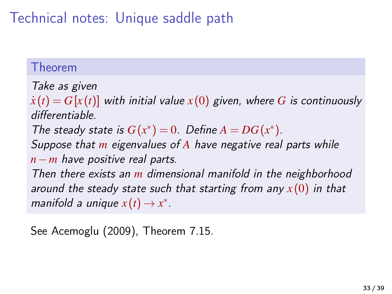# Technical notes: Unique saddle path

#### <span id="page-32-0"></span>Theorem

Take as given

 $\dot{x}(t) = G[x(t)]$  with initial value  $x(0)$  given, where *G* is continuously differentiable.

The steady state is  $G(x^*) = 0$ . Define  $A = DG(x^*)$ .

Suppose that *m* eigenvalues of *A* have negative real parts while *n*−*m* have positive real parts.

Then there exists an *m* dimensional manifold in the neighborhood around the steady state such that starting from any  $x(0)$  in that manifold a unique  $x(t) \rightarrow x^*$ .

See [Acemoglu \(2009\)](#page-38-3), Theorem 7.15.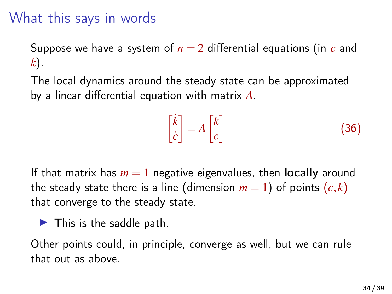#### What this says in words

Suppose we have a system of  $n = 2$  differential equations (in  $c$  and *k*).

The local dynamics around the steady state can be approximated by a linear differential equation with matrix *A*.

$$
\begin{bmatrix} \dot{k} \\ \dot{c} \end{bmatrix} = A \begin{bmatrix} k \\ c \end{bmatrix} \tag{36}
$$

If that matrix has  $m = 1$  negative eigenvalues, then **locally** around the steady state there is a line (dimension  $m = 1$ ) of points  $(c, k)$ that converge to the steady state.

 $\blacktriangleright$  This is the saddle path.

Other points could, in principle, converge as well, but we can rule that out as above.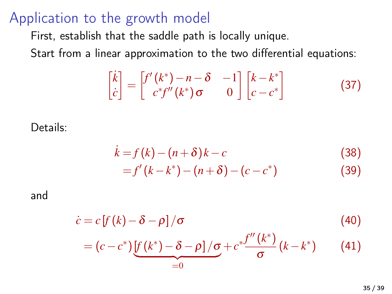#### Application to the growth model

First, establish that the saddle path is locally unique.

Start from a linear approximation to the two differential equations:

$$
\begin{bmatrix} \dot{k} \\ \dot{c} \end{bmatrix} = \begin{bmatrix} f'(k^*) - n - \delta & -1 \\ c^* f''(k^*) \sigma & 0 \end{bmatrix} \begin{bmatrix} k - k^* \\ c - c^* \end{bmatrix}
$$
 (37)

Details:

$$
\dot{k} = f(k) - (n+\delta)k - c \tag{38}
$$

$$
= f'(k - k^*) - (n + \delta) - (c - c^*)
$$
 (39)

and

$$
\dot{c} = c[f(k) - \delta - \rho]/\sigma \qquad (40)
$$
  
=  $(c - c^*) \underbrace{[f(k^*) - \delta - \rho]/\sigma}_{=0} + c^* \underbrace{f''(k^*)}_{\sigma} (k - k^*) \qquad (41)$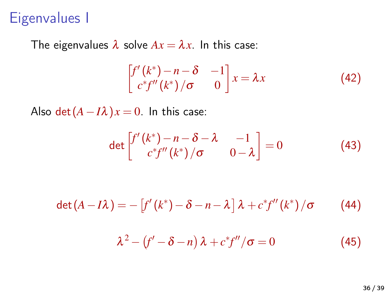#### Eigenvalues I

The eigenvalues  $\lambda$  solve  $Ax = \lambda x$ . In this case:

$$
\begin{bmatrix} f'(k^*) - n - \delta & -1 \\ c^* f''(k^*) / \sigma & 0 \end{bmatrix} x = \lambda x \tag{42}
$$

Also det  $(A - I\lambda)x = 0$ . In this case:

$$
\det\begin{bmatrix}f'(k^*)-n-\delta-\lambda & -1\\c^*f''(k^*)/\sigma & 0-\lambda\end{bmatrix}=0
$$
 (43)

 $det(A - Iλ) = - [f'(k<sup>*</sup>) – δ – n – λ] λ + c<sup>*</sup>f''(k<sup>*</sup>)/σ$  (44)

$$
\lambda^2 - (f' - \delta - n)\lambda + c^* f'' / \sigma = 0 \tag{45}
$$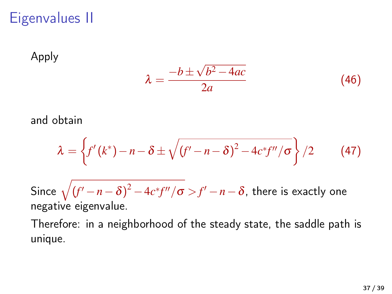#### Eigenvalues II

Apply

$$
\lambda = \frac{-b \pm \sqrt{b^2 - 4ac}}{2a} \tag{46}
$$

and obtain

$$
\lambda = \left\{ f'(k^*) - n - \delta \pm \sqrt{(f'-n-\delta)^2 - 4c^*f''/\sigma} \right\} / 2 \tag{47}
$$

Since  $\sqrt{\left(f'-n-\delta\right)^2-4c^*f''/\sigma} > f'-n-\delta,$  there is exactly one negative eigenvalue.

Therefore: in a neighborhood of the steady state, the saddle path is unique.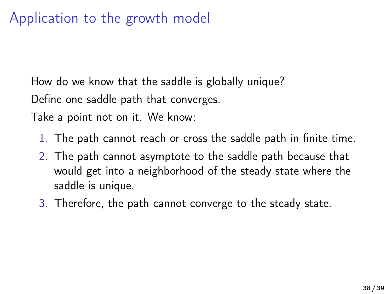# Application to the growth model

How do we know that the saddle is globally unique?

Define one saddle path that converges.

Take a point not on it. We know:

- 1. The path cannot reach or cross the saddle path in finite time.
- 2. The path cannot asymptote to the saddle path because that would get into a neighborhood of the steady state where the saddle is unique.
- 3. Therefore, the path cannot converge to the steady state.